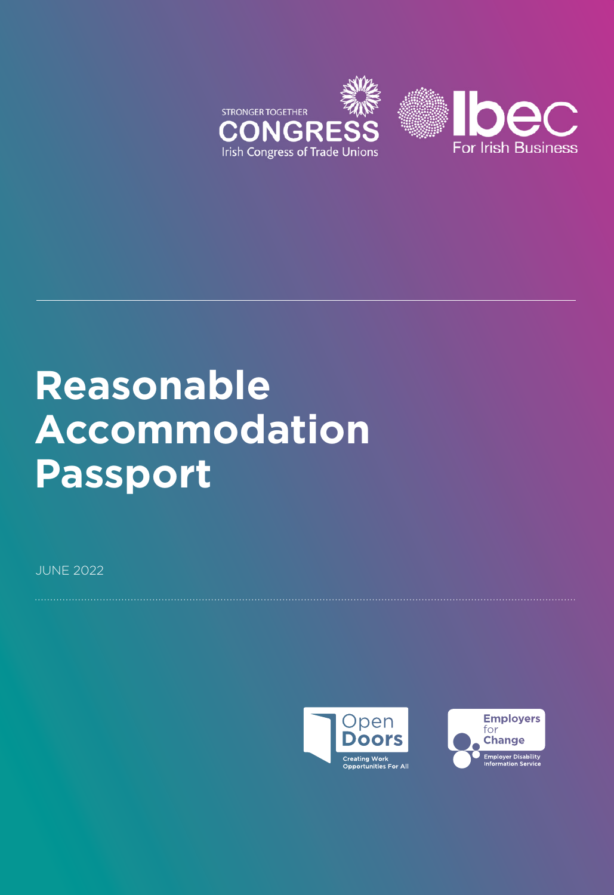

# **Reasonable Accommodation Passport**

JUNE 2022



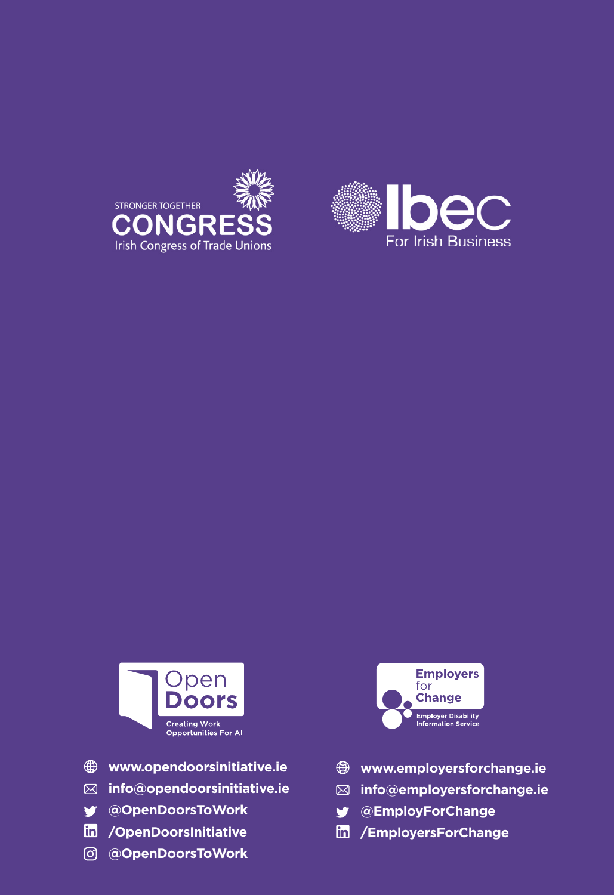





- **www.opendoorsinitiative.ie**
- **info@opendoorsinitiative.ie**
- **@OpenDoorsToWork**
- **/OpenDoorsInitiative**
- **@OpenDoorsToWork**



- **www.employersforchange.ie**
- **info@employersforchange.ie**
- **@EmployForChange** V
- **/EmployersForChange**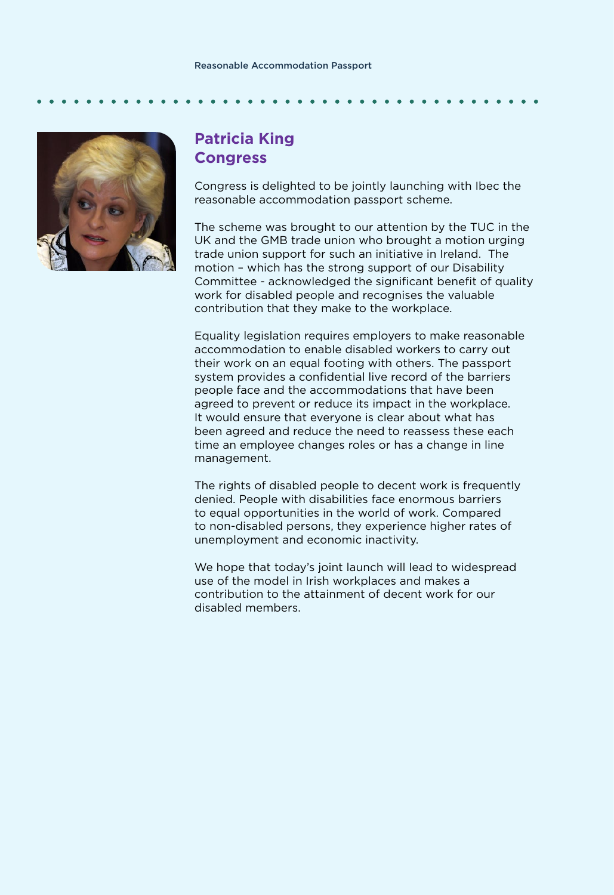

### **Patricia King Congress**

Congress is delighted to be jointly launching with Ibec the reasonable accommodation passport scheme.

The scheme was brought to our attention by the TUC in the UK and the GMB trade union who brought a motion urging trade union support for such an initiative in Ireland. The motion – which has the strong support of our Disability Committee - acknowledged the significant benefit of quality work for disabled people and recognises the valuable contribution that they make to the workplace.

Equality legislation requires employers to make reasonable accommodation to enable disabled workers to carry out their work on an equal footing with others. The passport system provides a confidential live record of the barriers people face and the accommodations that have been agreed to prevent or reduce its impact in the workplace. It would ensure that everyone is clear about what has been agreed and reduce the need to reassess these each time an employee changes roles or has a change in line management.

The rights of disabled people to decent work is frequently denied. People with disabilities face enormous barriers to equal opportunities in the world of work. Compared to non-disabled persons, they experience higher rates of unemployment and economic inactivity.

We hope that today's joint launch will lead to widespread use of the model in Irish workplaces and makes a contribution to the attainment of decent work for our disabled members.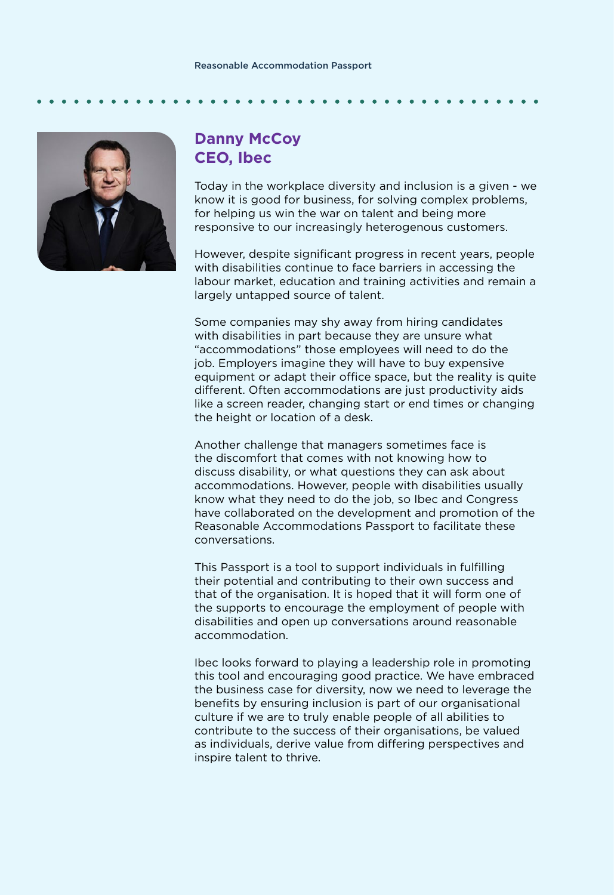### Reasonable Accommodation Passport

### **Danny McCoy CEO, Ibec**

Today in the workplace diversity and inclusion is a given - we know it is good for business, for solving complex problems, for helping us win the war on talent and being more responsive to our increasingly heterogenous customers.

However, despite significant progress in recent years, people with disabilities continue to face barriers in accessing the labour market, education and training activities and remain a largely untapped source of talent.

Some companies may shy away from hiring candidates with disabilities in part because they are unsure what "accommodations" those employees will need to do the job. Employers imagine they will have to buy expensive equipment or adapt their office space, but the reality is quite different. Often accommodations are just productivity aids like a screen reader, changing start or end times or changing the height or location of a desk.

Another challenge that managers sometimes face is the discomfort that comes with not knowing how to discuss disability, or what questions they can ask about accommodations. However, people with disabilities usually know what they need to do the job, so Ibec and Congress have collaborated on the development and promotion of the Reasonable Accommodations Passport to facilitate these conversations.

This Passport is a tool to support individuals in fulfilling their potential and contributing to their own success and that of the organisation. It is hoped that it will form one of the supports to encourage the employment of people with disabilities and open up conversations around reasonable accommodation.

Ibec looks forward to playing a leadership role in promoting this tool and encouraging good practice. We have embraced the business case for diversity, now we need to leverage the benefits by ensuring inclusion is part of our organisational culture if we are to truly enable people of all abilities to contribute to the success of their organisations, be valued as individuals, derive value from differing perspectives and inspire talent to thrive.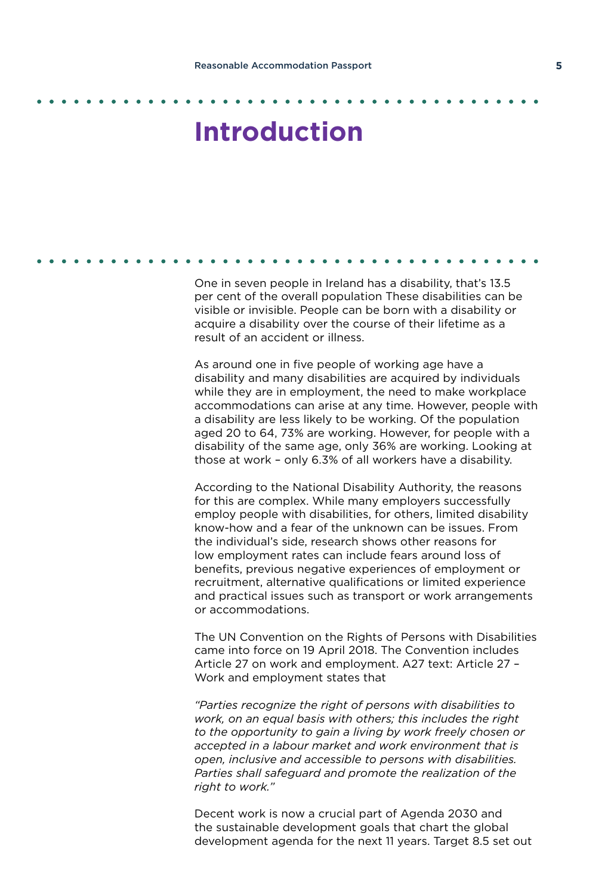## **Introduction**

One in seven people in Ireland has a disability, that's 13.5 per cent of the overall population These disabilities can be visible or invisible. People can be born with a disability or acquire a disability over the course of their lifetime as a result of an accident or illness.

As around one in five people of working age have a disability and many disabilities are acquired by individuals while they are in employment, the need to make workplace accommodations can arise at any time. However, people with a disability are less likely to be working. Of the population aged 20 to 64, 73% are working. However, for people with a disability of the same age, only 36% are working. Looking at those at work – only 6.3% of all workers have a disability.

According to the National Disability Authority, the reasons for this are complex. While many employers successfully employ people with disabilities, for others, limited disability know-how and a fear of the unknown can be issues. From the individual's side, research shows other reasons for low employment rates can include fears around loss of benefits, previous negative experiences of employment or recruitment, alternative qualifications or limited experience and practical issues such as transport or work arrangements or accommodations.

The UN Convention on the Rights of Persons with Disabilities came into force on 19 April 2018. The Convention includes Article 27 on work and employment. A27 text: Article 27 – Work and employment states that

*"Parties recognize the right of persons with disabilities to work, on an equal basis with others; this includes the right to the opportunity to gain a living by work freely chosen or accepted in a labour market and work environment that is open, inclusive and accessible to persons with disabilities. Parties shall safeguard and promote the realization of the right to work."*

Decent work is now a crucial part of Agenda 2030 and the sustainable development goals that chart the global development agenda for the next 11 years. Target 8.5 set out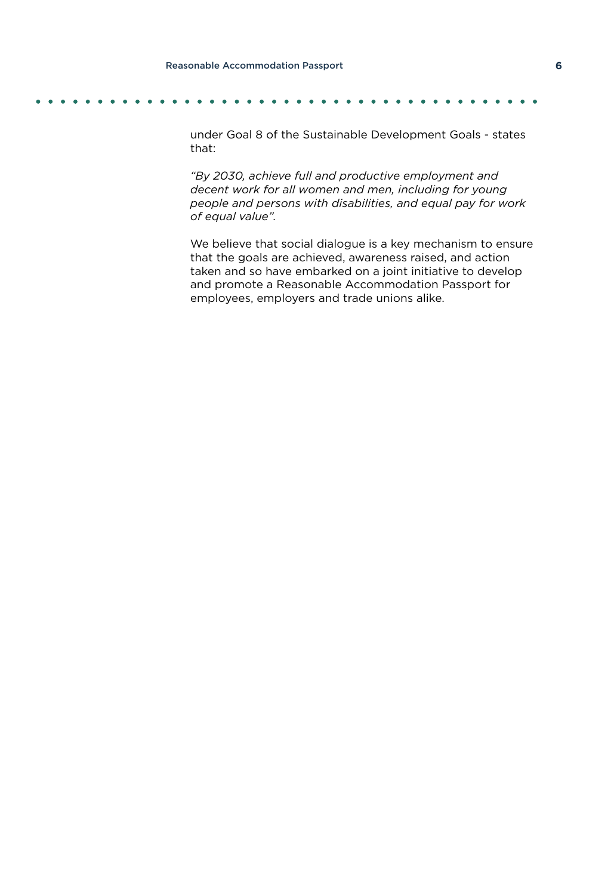under Goal 8 of the Sustainable Development Goals - states that:

*"By 2030, achieve full and productive employment and decent work for all women and men, including for young people and persons with disabilities, and equal pay for work of equal value".*

We believe that social dialogue is a key mechanism to ensure that the goals are achieved, awareness raised, and action taken and so have embarked on a joint initiative to develop and promote a Reasonable Accommodation Passport for employees, employers and trade unions alike.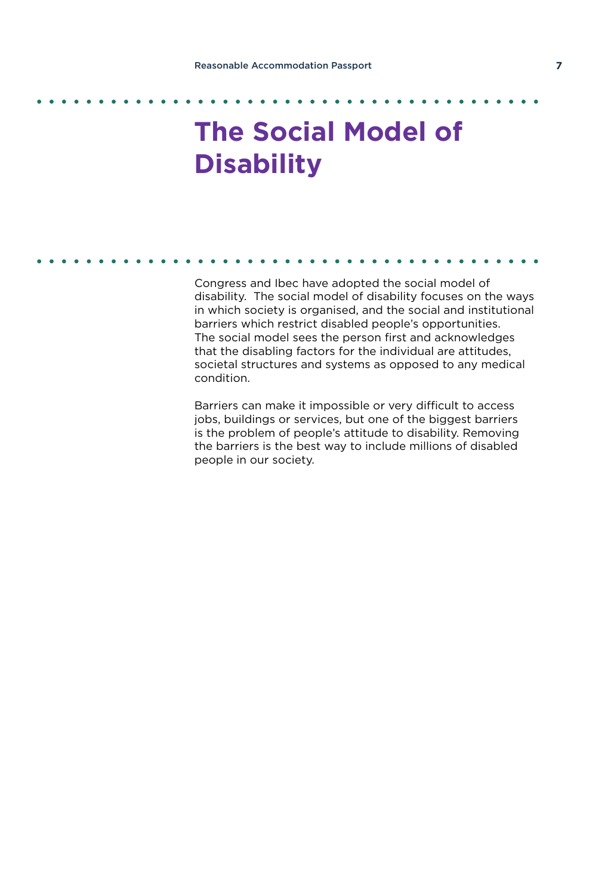## **The Social Model of Disability**

Congress and Ibec have adopted the social model of disability. The social model of disability focuses on the ways in which society is organised, and the social and institutional barriers which restrict disabled people's opportunities. The social model sees the person first and acknowledges that the disabling factors for the individual are attitudes, societal structures and systems as opposed to any medical condition.

Barriers can make it impossible or very difficult to access jobs, buildings or services, but one of the biggest barriers is the problem of people's attitude to disability. Removing the barriers is the best way to include millions of disabled people in our society.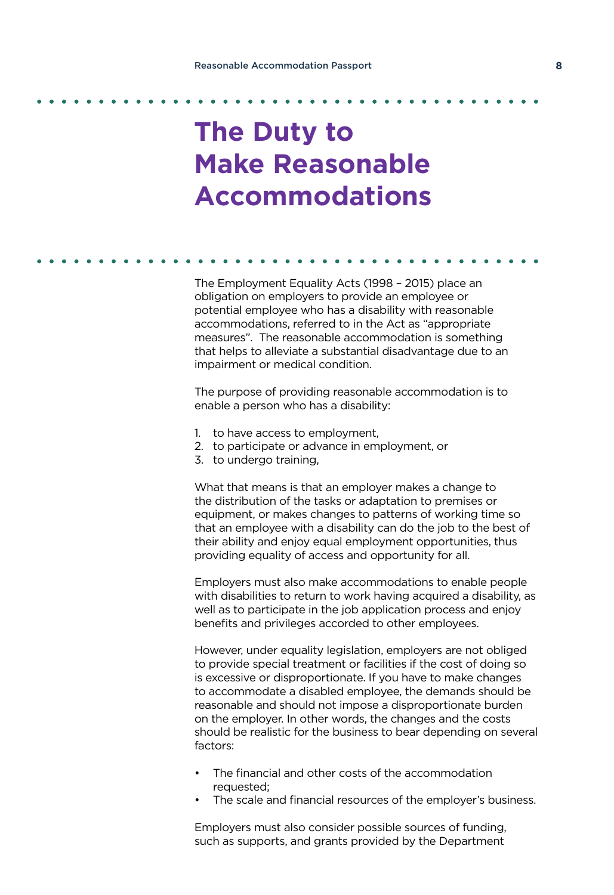## **The Duty to Make Reasonable Accommodations**

The Employment Equality Acts (1998 – 2015) place an obligation on employers to provide an employee or potential employee who has a disability with reasonable accommodations, referred to in the Act as "appropriate measures". The reasonable accommodation is something that helps to alleviate a substantial disadvantage due to an impairment or medical condition.

The purpose of providing reasonable accommodation is to enable a person who has a disability:

- 1. to have access to employment,
- 2. to participate or advance in employment, or
- 3. to undergo training,

What that means is that an employer makes a change to the distribution of the tasks or adaptation to premises or equipment, or makes changes to patterns of working time so that an employee with a disability can do the job to the best of their ability and enjoy equal employment opportunities, thus providing equality of access and opportunity for all.

Employers must also make accommodations to enable people with disabilities to return to work having acquired a disability, as well as to participate in the job application process and enjoy benefits and privileges accorded to other employees.

However, under equality legislation, employers are not obliged to provide special treatment or facilities if the cost of doing so is excessive or disproportionate. If you have to make changes to accommodate a disabled employee, the demands should be reasonable and should not impose a disproportionate burden on the employer. In other words, the changes and the costs should be realistic for the business to bear depending on several factors:

- The financial and other costs of the accommodation requested;
- The scale and financial resources of the employer's business.

Employers must also consider possible sources of funding, such as supports, and grants provided by the Department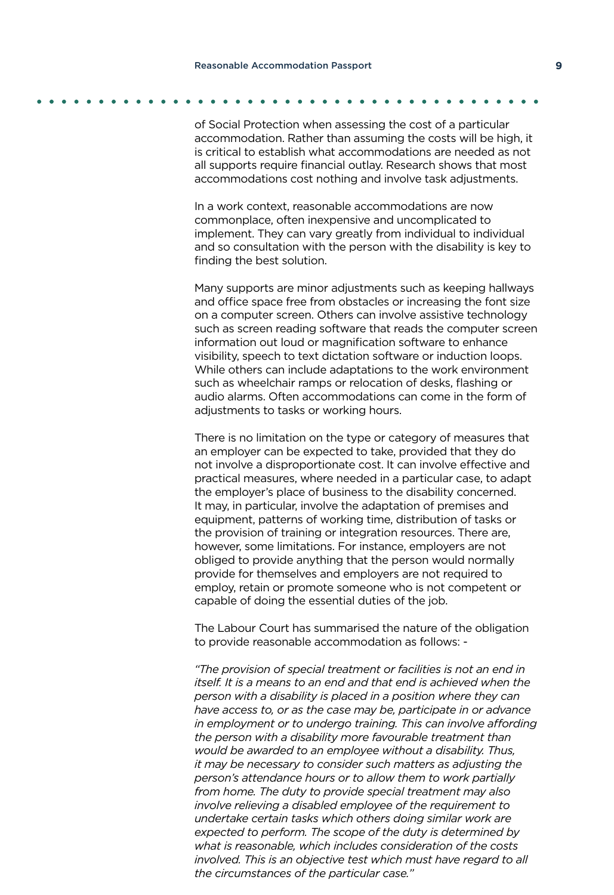of Social Protection when assessing the cost of a particular accommodation. Rather than assuming the costs will be high, it is critical to establish what accommodations are needed as not all supports require financial outlay. Research shows that most accommodations cost nothing and involve task adjustments.

In a work context, reasonable accommodations are now commonplace, often inexpensive and uncomplicated to implement. They can vary greatly from individual to individual and so consultation with the person with the disability is key to finding the best solution.

Many supports are minor adjustments such as keeping hallways and office space free from obstacles or increasing the font size on a computer screen. Others can involve assistive technology such as screen reading software that reads the computer screen information out loud or magnification software to enhance visibility, speech to text dictation software or induction loops. While others can include adaptations to the work environment such as wheelchair ramps or relocation of desks, flashing or audio alarms. Often accommodations can come in the form of adjustments to tasks or working hours.

There is no limitation on the type or category of measures that an employer can be expected to take, provided that they do not involve a disproportionate cost. It can involve effective and practical measures, where needed in a particular case, to adapt the employer's place of business to the disability concerned. It may, in particular, involve the adaptation of premises and equipment, patterns of working time, distribution of tasks or the provision of training or integration resources. There are, however, some limitations. For instance, employers are not obliged to provide anything that the person would normally provide for themselves and employers are not required to employ, retain or promote someone who is not competent or capable of doing the essential duties of the job.

The Labour Court has summarised the nature of the obligation to provide reasonable accommodation as follows: -

*"The provision of special treatment or facilities is not an end in itself. It is a means to an end and that end is achieved when the person with a disability is placed in a position where they can have access to, or as the case may be, participate in or advance in employment or to undergo training. This can involve affording the person with a disability more favourable treatment than would be awarded to an employee without a disability. Thus, it may be necessary to consider such matters as adjusting the person's attendance hours or to allow them to work partially from home. The duty to provide special treatment may also involve relieving a disabled employee of the requirement to undertake certain tasks which others doing similar work are expected to perform. The scope of the duty is determined by what is reasonable, which includes consideration of the costs involved. This is an objective test which must have regard to all the circumstances of the particular case."*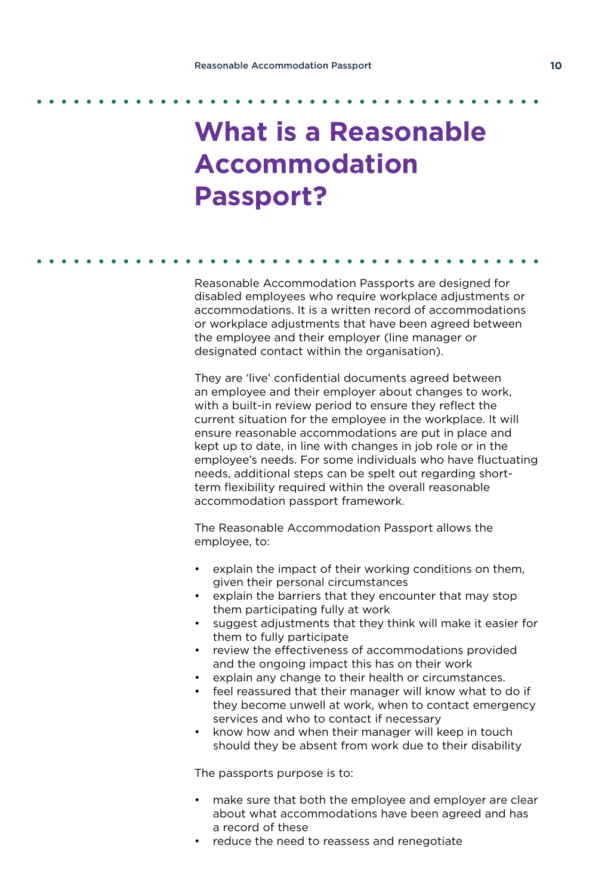### **What is a Reasonable Accommodation Passport?**

Reasonable Accommodation Passports are designed for disabled employees who require workplace adjustments or accommodations. It is a written record of accommodations or workplace adjustments that have been agreed between the employee and their employer (line manager or designated contact within the organisation).

They are 'live' confidential documents agreed between an employee and their employer about changes to work, with a built-in review period to ensure they reflect the current situation for the employee in the workplace. It will ensure reasonable accommodations are put in place and kept up to date, in line with changes in job role or in the employee's needs. For some individuals who have fluctuating needs, additional steps can be spelt out regarding shortterm flexibility required within the overall reasonable accommodation passport framework.

The Reasonable Accommodation Passport allows the employee, to:

- explain the impact of their working conditions on them, given their personal circumstances
- explain the barriers that they encounter that may stop them participating fully at work
- suggest adjustments that they think will make it easier for them to fully participate
- review the effectiveness of accommodations provided and the ongoing impact this has on their work
- explain any change to their health or circumstances.
- feel reassured that their manager will know what to do if they become unwell at work, when to contact emergency services and who to contact if necessary
- know how and when their manager will keep in touch should they be absent from work due to their disability

The passports purpose is to:

- make sure that both the employee and employer are clear about what accommodations have been agreed and has a record of these
- reduce the need to reassess and renegotiate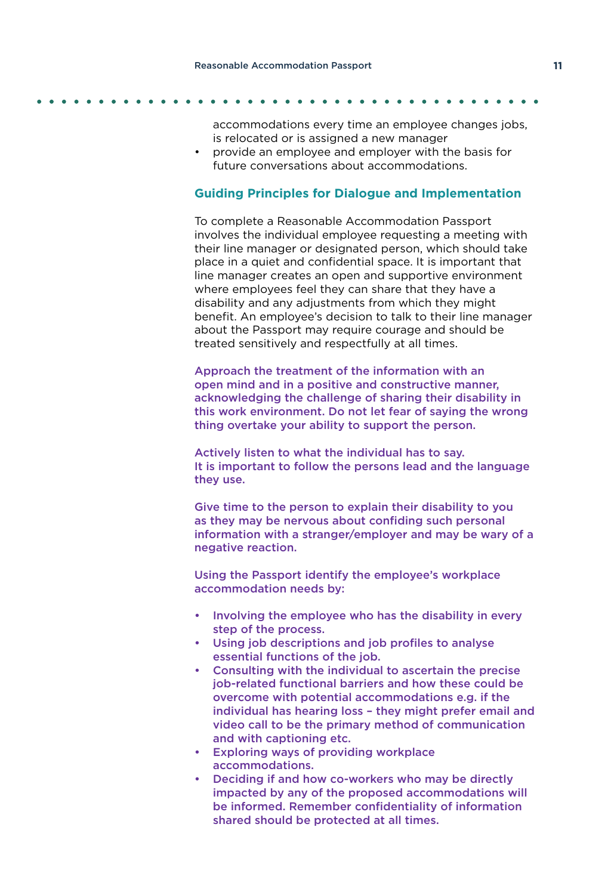accommodations every time an employee changes jobs, is relocated or is assigned a new manager

• provide an employee and employer with the basis for future conversations about accommodations.

### **Guiding Principles for Dialogue and Implementation**

To complete a Reasonable Accommodation Passport involves the individual employee requesting a meeting with their line manager or designated person, which should take place in a quiet and confidential space. It is important that line manager creates an open and supportive environment where employees feel they can share that they have a disability and any adjustments from which they might benefit. An employee's decision to talk to their line manager about the Passport may require courage and should be treated sensitively and respectfully at all times.

Approach the treatment of the information with an open mind and in a positive and constructive manner, acknowledging the challenge of sharing their disability in this work environment. Do not let fear of saying the wrong thing overtake your ability to support the person.

Actively listen to what the individual has to say. It is important to follow the persons lead and the language they use.

Give time to the person to explain their disability to you as they may be nervous about confiding such personal information with a stranger/employer and may be wary of a negative reaction.

Using the Passport identify the employee's workplace accommodation needs by:

- Involving the employee who has the disability in every step of the process.
- Using job descriptions and job profiles to analyse essential functions of the job.
- Consulting with the individual to ascertain the precise job-related functional barriers and how these could be overcome with potential accommodations e.g. if the individual has hearing loss – they might prefer email and video call to be the primary method of communication and with captioning etc.
- Exploring ways of providing workplace accommodations.
- Deciding if and how co-workers who may be directly impacted by any of the proposed accommodations will be informed. Remember confidentiality of information shared should be protected at all times.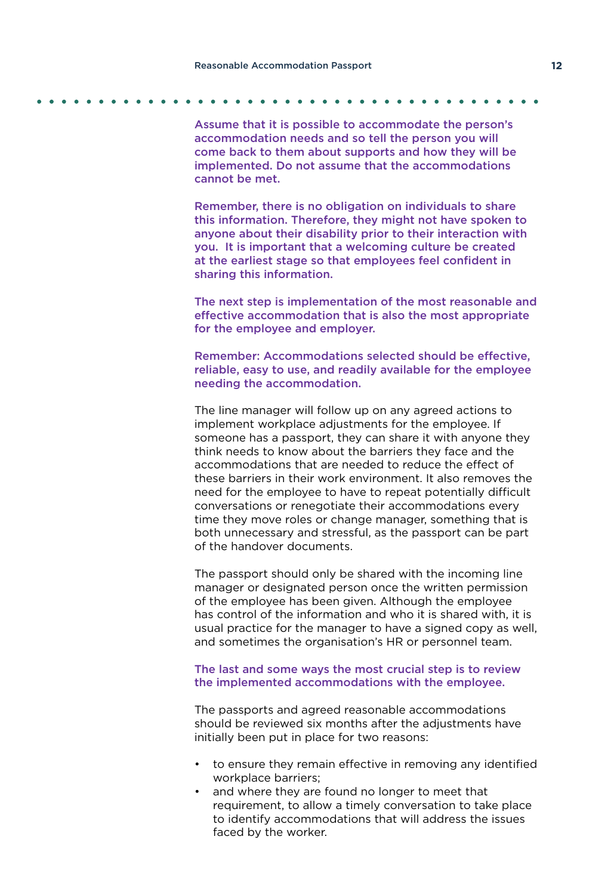Assume that it is possible to accommodate the person's accommodation needs and so tell the person you will come back to them about supports and how they will be implemented. Do not assume that the accommodations cannot be met.

Remember, there is no obligation on individuals to share this information. Therefore, they might not have spoken to anyone about their disability prior to their interaction with you. It is important that a welcoming culture be created at the earliest stage so that employees feel confident in sharing this information.

The next step is implementation of the most reasonable and effective accommodation that is also the most appropriate for the employee and employer.

Remember: Accommodations selected should be effective, reliable, easy to use, and readily available for the employee needing the accommodation.

The line manager will follow up on any agreed actions to implement workplace adjustments for the employee. If someone has a passport, they can share it with anyone they think needs to know about the barriers they face and the accommodations that are needed to reduce the effect of these barriers in their work environment. It also removes the need for the employee to have to repeat potentially difficult conversations or renegotiate their accommodations every time they move roles or change manager, something that is both unnecessary and stressful, as the passport can be part of the handover documents.

The passport should only be shared with the incoming line manager or designated person once the written permission of the employee has been given. Although the employee has control of the information and who it is shared with, it is usual practice for the manager to have a signed copy as well, and sometimes the organisation's HR or personnel team.

### The last and some ways the most crucial step is to review the implemented accommodations with the employee.

The passports and agreed reasonable accommodations should be reviewed six months after the adjustments have initially been put in place for two reasons:

- to ensure they remain effective in removing any identified workplace barriers;
- and where they are found no longer to meet that requirement, to allow a timely conversation to take place to identify accommodations that will address the issues faced by the worker.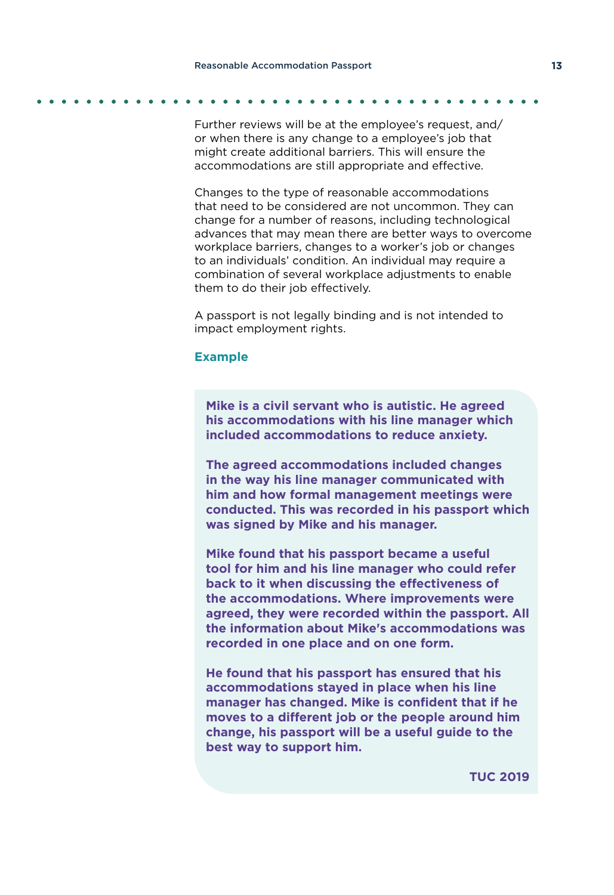Further reviews will be at the employee's request, and/ or when there is any change to a employee's job that might create additional barriers. This will ensure the accommodations are still appropriate and effective.

Changes to the type of reasonable accommodations that need to be considered are not uncommon. They can change for a number of reasons, including technological advances that may mean there are better ways to overcome workplace barriers, changes to a worker's job or changes to an individuals' condition. An individual may require a combination of several workplace adjustments to enable them to do their job effectively.

A passport is not legally binding and is not intended to impact employment rights.

### **Example**

**Mike is a civil servant who is autistic. He agreed his accommodations with his line manager which included accommodations to reduce anxiety.** 

**The agreed accommodations included changes in the way his line manager communicated with him and how formal management meetings were conducted. This was recorded in his passport which was signed by Mike and his manager.**

**Mike found that his passport became a useful tool for him and his line manager who could refer back to it when discussing the effectiveness of the accommodations. Where improvements were agreed, they were recorded within the passport. All the information about Mike's accommodations was recorded in one place and on one form.**

**He found that his passport has ensured that his accommodations stayed in place when his line manager has changed. Mike is confident that if he moves to a different job or the people around him change, his passport will be a useful guide to the best way to support him.**

**TUC 2019**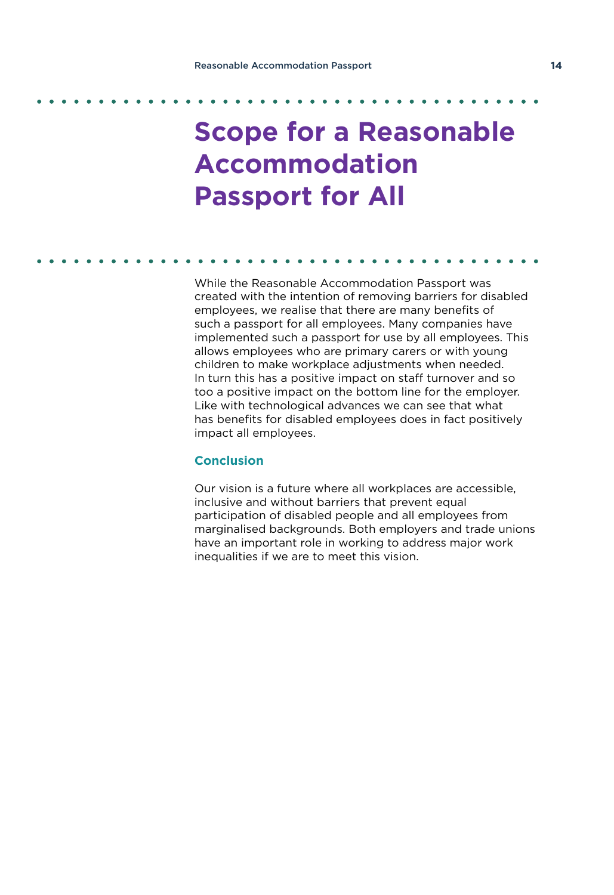## **Scope for a Reasonable Accommodation Passport for All**

While the Reasonable Accommodation Passport was created with the intention of removing barriers for disabled employees, we realise that there are many benefits of such a passport for all employees. Many companies have implemented such a passport for use by all employees. This allows employees who are primary carers or with young children to make workplace adjustments when needed. In turn this has a positive impact on staff turnover and so too a positive impact on the bottom line for the employer. Like with technological advances we can see that what has benefits for disabled employees does in fact positively impact all employees.

### **Conclusion**

Our vision is a future where all workplaces are accessible, inclusive and without barriers that prevent equal participation of disabled people and all employees from marginalised backgrounds. Both employers and trade unions have an important role in working to address major work inequalities if we are to meet this vision.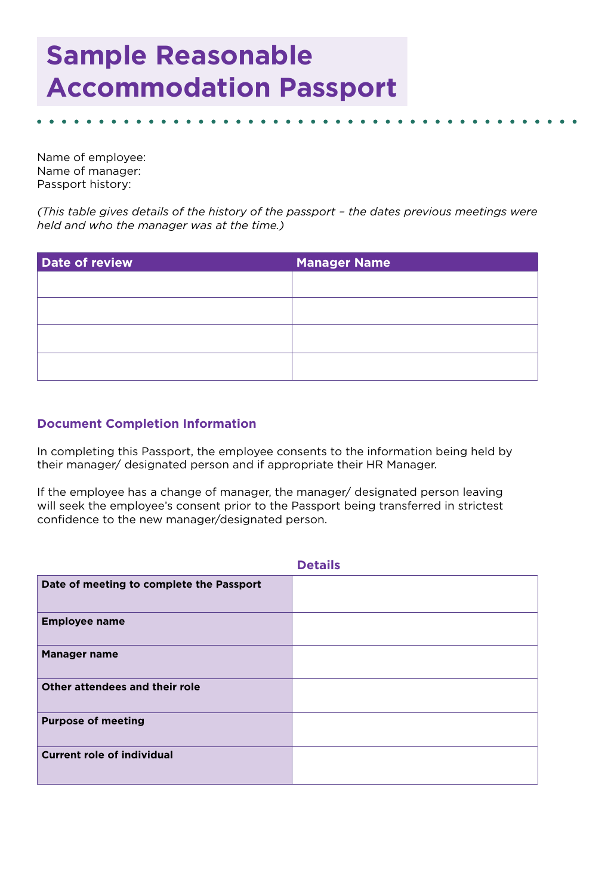## **Sample Reasonable Accommodation Passport**

Name of employee: Name of manager: Passport history:

*(This table gives details of the history of the passport – the dates previous meetings were held and who the manager was at the time.)*

| Date of review | <b>Manager Name</b> |
|----------------|---------------------|
|                |                     |
|                |                     |
|                |                     |
|                |                     |
|                |                     |

### **Document Completion Information**

In completing this Passport, the employee consents to the information being held by their manager/ designated person and if appropriate their HR Manager.

If the employee has a change of manager, the manager/ designated person leaving will seek the employee's consent prior to the Passport being transferred in strictest confidence to the new manager/designated person.

|                                          | <b>Details</b> |
|------------------------------------------|----------------|
| Date of meeting to complete the Passport |                |
| <b>Employee name</b>                     |                |
| <b>Manager name</b>                      |                |
| Other attendees and their role           |                |
| <b>Purpose of meeting</b>                |                |
| <b>Current role of individual</b>        |                |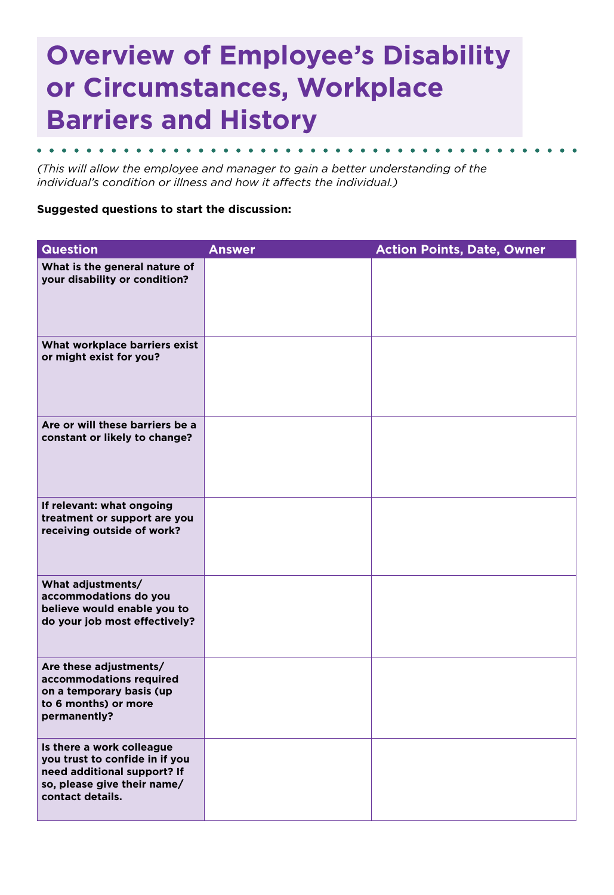## **Overview of Employee's Disability or Circumstances, Workplace Barriers and History**

*(This will allow the employee and manager to gain a better understanding of the individual's condition or illness and how it affects the individual.)*

### **Suggested questions to start the discussion:**

| <b>Question</b>                                                                                                                               | <b>Answer</b> | <b>Action Points, Date, Owner</b> |
|-----------------------------------------------------------------------------------------------------------------------------------------------|---------------|-----------------------------------|
| What is the general nature of<br>your disability or condition?                                                                                |               |                                   |
| What workplace barriers exist<br>or might exist for you?                                                                                      |               |                                   |
| Are or will these barriers be a<br>constant or likely to change?                                                                              |               |                                   |
| If relevant: what ongoing<br>treatment or support are you<br>receiving outside of work?                                                       |               |                                   |
| What adjustments/<br>accommodations do you<br>believe would enable you to<br>do your job most effectively?                                    |               |                                   |
| Are these adjustments/<br>accommodations required<br>on a temporary basis (up<br>to 6 months) or more<br>permanently?                         |               |                                   |
| Is there a work colleague<br>you trust to confide in if you<br>need additional support? If<br>so, please give their name/<br>contact details. |               |                                   |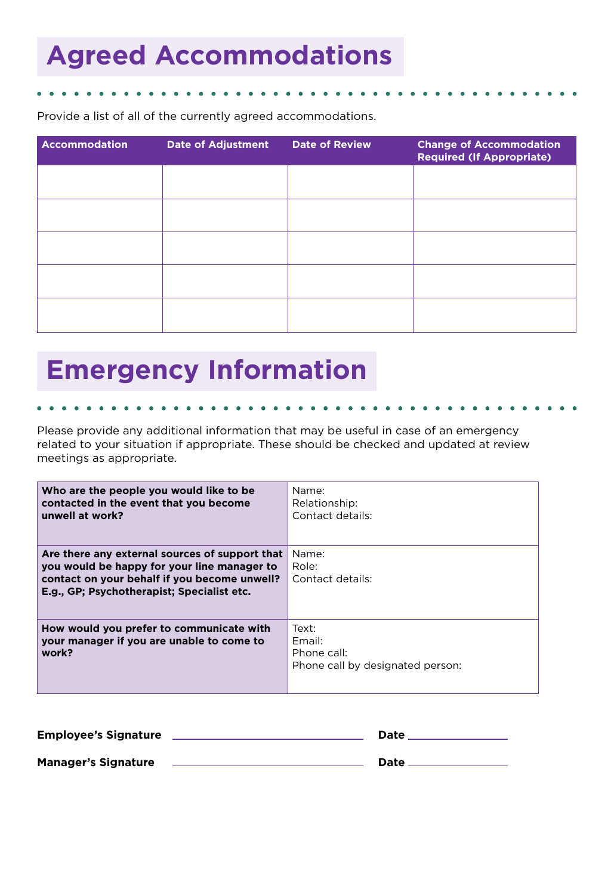## **Agreed Accommodations**

Provide a list of all of the currently agreed accommodations.

| <b>Accommodation</b> | <b>Date of Adjustment</b> | <b>Date of Review</b> | <b>Change of Accommodation</b><br><b>Required (If Appropriate)</b> |
|----------------------|---------------------------|-----------------------|--------------------------------------------------------------------|
|                      |                           |                       |                                                                    |
|                      |                           |                       |                                                                    |
|                      |                           |                       |                                                                    |
|                      |                           |                       |                                                                    |
|                      |                           |                       |                                                                    |
|                      |                           |                       |                                                                    |

## **Emergency Information**

Please provide any additional information that may be useful in case of an emergency related to your situation if appropriate. These should be checked and updated at review meetings as appropriate.

| Who are the people you would like to be<br>contacted in the event that you become<br>unwell at work?                                                                                        | Name:<br>Relationship:<br>Contact details:                         |
|---------------------------------------------------------------------------------------------------------------------------------------------------------------------------------------------|--------------------------------------------------------------------|
| Are there any external sources of support that<br>you would be happy for your line manager to<br>contact on your behalf if you become unwell?<br>E.g., GP; Psychotherapist; Specialist etc. | Name:<br>Role:<br>Contact details:                                 |
| How would you prefer to communicate with<br>your manager if you are unable to come to<br>work?                                                                                              | Text:<br>Fmail:<br>Phone call:<br>Phone call by designated person: |

| <b>Employee's Signature</b> | Date |
|-----------------------------|------|
| <b>Manager's Signature</b>  | Date |